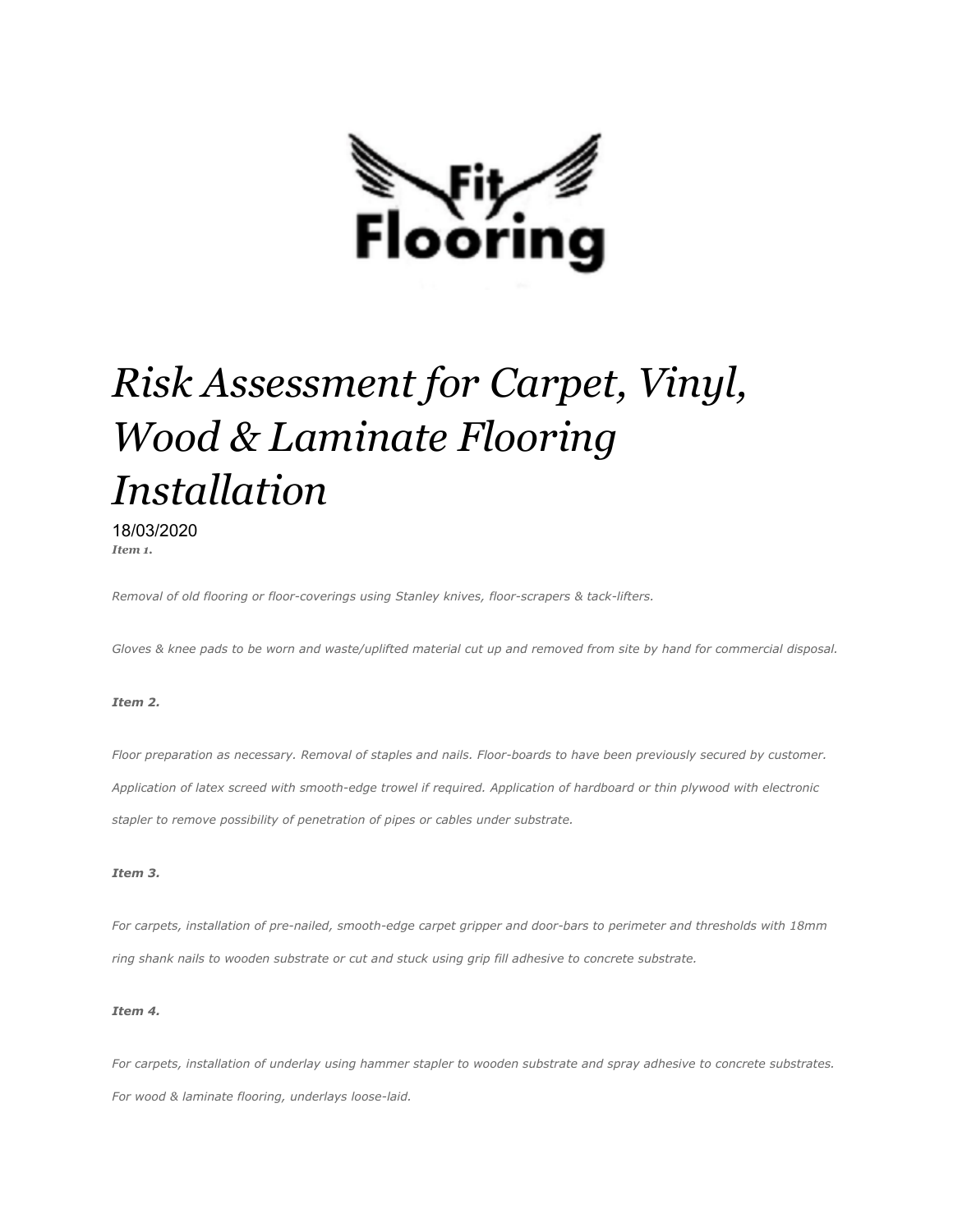

# *Risk Assessment for Carpet, Vinyl, Wood & Laminate Flooring Installation*

18/03/2020 *Item 1.*

*Removal of old flooring or floor-coverings using Stanley knives, floor-scrapers & tack-lifters.*

*Gloves & knee pads to be worn and waste/uplifted material cut up and removed from site by hand for commercial disposal.*

### *Item 2.*

*Floor preparation as necessary. Removal of staples and nails. Floor-boards to have been previously secured by customer. Application of latex screed with smooth-edge trowel if required. Application of hardboard or thin plywood with electronic stapler to remove possibility of penetration of pipes or cables under substrate.*

### *Item 3.*

*For carpets, installation of pre-nailed, smooth-edge carpet gripper and door-bars to perimeter and thresholds with 18mm ring shank nails to wooden substrate or cut and stuck using grip fill adhesive to concrete substrate.*

### *Item 4.*

*For carpets, installation of underlay using hammer stapler to wooden substrate and spray adhesive to concrete substrates. For wood & laminate flooring, underlays loose-laid.*